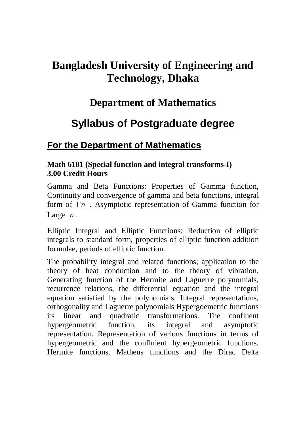# **Bangladesh University of Engineering and Technology, Dhaka**

# **Department of Mathematics**

# **Syllabus of Postgraduate degree**

# **For the Department of Mathematics**

#### **Math 6101 (Special function and integral transforms-I) 3.00 Credit Hours**

Gamma and Beta Functions: Properties of Gamma function, Continuity and convergence of gamma and beta functions, integral form of  $\Gamma$ *n* . Asymptotic representation of Gamma function for Large  $|n|$ .

Elliptic Integral and Elliptic Functions: Reduction of elliptic integrals to standard form, properties of elliptic function addition formulae, periods of elliptic function.

The probability integral and related functions; application to the theory of heat conduction and to the theory of vibration. Generating function of the Hermite and Laguerre polynomials, recurrence relations, the differential equation and the integral equation satisfied by the polynomials. Integral representations, orthogonality and Laguerre polynomials Hypergoemetric functions its linear and quadratic transformations. The confluent hypergeometric function, its integral and asymptotic representation. Representation of various functions in terms of hypergeometric and the confluient hypergeometric functions. Hermite functions. Matheus functions and the Dirac Delta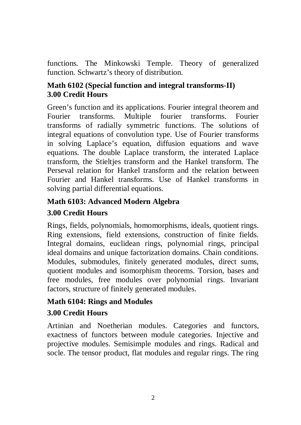functions. The Minkowski Temple. Theory of generalized function. Schwartz's theory of distribution.

#### **Math 6102 (Special function and integral transforms-II) 3.00 Credit Hours**

Green's function and its applications. Fourier integral theorem and Fourier transforms. Multiple fourier transforms. Fourier transforms of radially symmetric functions. The solutions of integral equations of convolution type. Use of Fourier transforms in solving Laplace's equation, diffusion equations and wave equations. The double Laplace transform, the interated Laplace transform, the Stieltjes transform and the Hankel transform. The Perseval relation for Hankel transform and the relation between Fourier and Hankel transforms. Use of Hankel transforms in solving partial differential equations.

# **Math 6103: Advanced Modern Algebra**

### **3.00 Credit Hours**

Rings, fields, polynomials, homomorphisms, ideals, quotient rings. Ring extensions, field extensions, construction of finite fields. Integral domains, euclidean rings, polynomial rings, principal ideal domains and unique factorization domains. Chain conditions. Modules, submodules, finitely generated modules, direct sums, quotient modules and isomorphism theorems. Torsion, bases and free modules, free modules over polynomial rings. Invariant factors, structure of finitely generated modules.

### **Math 6104: Rings and Modules**

### **3.00 Credit Hours**

Artinian and Noetherian modules. Categories and functors, exactness of functors between module categories. Injective and projective modules. Semisimple modules and rings. Radical and socle. The tensor product, flat modules and regular rings. The ring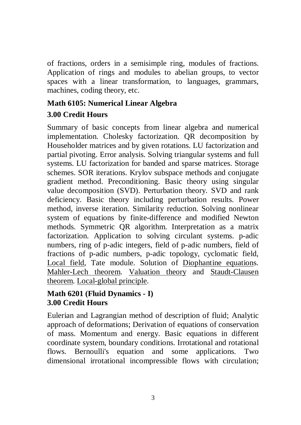of fractions, orders in a semisimple ring, modules of fractions. Application of rings and modules to abelian groups, to vector spaces with a linear transformation, to languages, grammars, machines, coding theory, etc.

#### **Math 6105: Numerical Linear Algebra**

#### **3.00 Credit Hours**

Summary of basic concepts from linear algebra and numerical implementation. Cholesky factorization. QR decomposition by Householder matrices and by given rotations. LU factorization and partial pivoting. Error analysis. Solving triangular systems and full systems. LU factorization for banded and sparse matrices. Storage schemes. SOR iterations. Krylov subspace methods and conjugate gradient method. Preconditioning. Basic theory using singular value decomposition (SVD). Perturbation theory. SVD and rank deficiency. Basic theory including perturbation results. Power method, inverse iteration. Similarity reduction. Solving nonlinear system of equations by finite-difference and modified Newton methods. Symmetric QR algorithm. Interpretation as a matrix factorization. Application to solving circulant systems. p-adic numbers, ring of p-adic integers, field of p-adic numbers, field of fractions of p-adic numbers, p-adic topology, cyclomatic field, Local field, Tate module. Solution of Diophantine equations. Mahler-Lech theorem. Valuation theory and Staudt-Clausen theorem. Local-global principle.

#### **Math 6201 (Fluid Dynamics - I) 3.00 Credit Hours**

Eulerian and Lagrangian method of description of fluid; Analytic approach of deformations; Derivation of equations of conservation of mass. Momentum and energy. Basic equations in different coordinate system, boundary conditions. Irrotational and rotational flows. Bernoulli's equation and some applications. Two dimensional irrotational incompressible flows with circulation;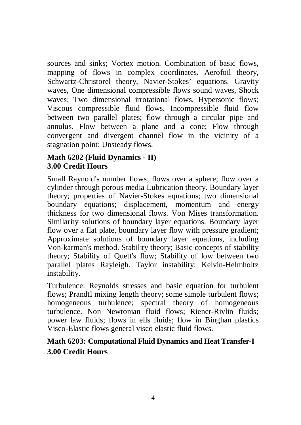sources and sinks; Vortex motion. Combination of basic flows, mapping of flows in complex coordinates. Aerofoil theory, Schwartz-Christorel theory, Navier-Stokes' equations. Gravity waves, One dimensional compressible flows sound waves, Shock waves; Two dimensional irrotational flows. Hypersonic flows; Viscous compressible fluid flows. Incompressible fluid flow between two parallel plates; flow through a circular pipe and annulus. Flow between a plane and a cone; Flow through convergent and divergent channel flow in the vicinity of a stagnation point; Unsteady flows.

#### **Math 6202 (Fluid Dynamics - II) 3.00 Credit Hours**

Small Raynold's number flows; flows over a sphere; flow over a cylinder through porous media Lubrication theory. Boundary layer theory; properties of Navier-Stokes equations; two dimensional boundary equations; displacement, momentum and energy thickness for two dimensional flows. Von Mises transformation. Similarity solutions of boundary layer equations. Boundary layer flow over a flat plate, boundary layer flow with pressure gradient; Approximate solutions of boundary layer equations, including Von-karman's method. Stability theory; Basic concepts of stability theory; Stability of Quett's flow; Stability of low between two parallel plates Rayleigh. Taylor instability; Kelvin-Helmholtz instability.

Turbulence: Reynolds stresses and basic equation for turbulent flows; Prandtl mixing length theory; some simple turbulent flows; homogeneous turbulence; spectral theory of homogeneous turbulence. Non Newtonian fluid flows; Riener-Rivlin fluids; power law fluids; flows in ells fluids; flow in Binghan plastics Visco-Elastic flows general visco elastic fluid flows.

### **Math 6203: Computational Fluid Dynamics and Heat Transfer-I 3.00 Credit Hours**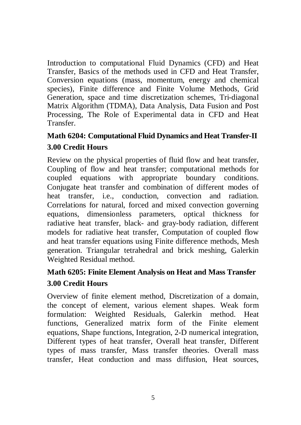Introduction to computational Fluid Dynamics (CFD) and Heat Transfer, Basics of the methods used in CFD and Heat Transfer, Conversion equations (mass, momentum, energy and chemical species), Finite difference and Finite Volume Methods, Grid Generation, space and time discretization schemes, Tri-diagonal Matrix Algorithm (TDMA), Data Analysis, Data Fusion and Post Processing, The Role of Experimental data in CFD and Heat Transfer.

## **Math 6204: Computational Fluid Dynamics and Heat Transfer-II 3.00 Credit Hours**

Review on the physical properties of fluid flow and heat transfer, Coupling of flow and heat transfer; computational methods for coupled equations with appropriate boundary conditions. Conjugate heat transfer and combination of different modes of heat transfer, i.e., conduction, convection and radiation. Correlations for natural, forced and mixed convection governing equations, dimensionless parameters, optical thickness for radiative heat transfer, black- and gray-body radiation, different models for radiative heat transfer, Computation of coupled flow and heat transfer equations using Finite difference methods, Mesh generation. Triangular tetrahedral and brick meshing, Galerkin Weighted Residual method.

## **Math 6205: Finite Element Analysis on Heat and Mass Transfer 3.00 Credit Hours**

Overview of finite element method, Discretization of a domain, the concept of element, various element shapes. Weak form formulation: Weighted Residuals, Galerkin method. Heat functions, Generalized matrix form of the Finite element equations, Shape functions, Integration, 2-D numerical integration, Different types of heat transfer, Overall heat transfer, Different types of mass transfer, Mass transfer theories. Overall mass transfer, Heat conduction and mass diffusion, Heat sources,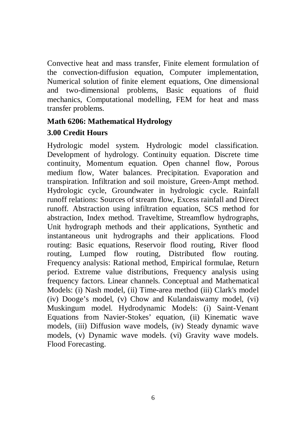Convective heat and mass transfer, Finite element formulation of the convection-diffusion equation, Computer implementation, Numerical solution of finite element equations, One dimensional and two-dimensional problems, Basic equations of fluid mechanics, Computational modelling, FEM for heat and mass transfer problems.

#### **Math 6206: Mathematical Hydrology 3.00 Credit Hours**

Hydrologic model system. Hydrologic model classification. Development of hydrology. Continuity equation. Discrete time continuity, Momentum equation. Open channel flow, Porous medium flow, Water balances. Precipitation. Evaporation and transpiration. Infiltration and soil moisture, Green-Ampt method. Hydrologic cycle, Groundwater in hydrologic cycle. Rainfall runoff relations: Sources of stream flow, Excess rainfall and Direct runoff. Abstraction using infiltration equation, SCS method for abstraction, Index method. Traveltime, Streamflow hydrographs, Unit hydrograph methods and their applications, Synthetic and instantaneous unit hydrographs and their applications. Flood routing: Basic equations, Reservoir flood routing, River flood routing, Lumped flow routing, Distributed flow routing. Frequency analysis: Rational method, Empirical formulae, Return period. Extreme value distributions, Frequency analysis using frequency factors. Linear channels. Conceptual and Mathematical Models: (i) Nash model, (ii) Time-area method (iii) Clark's model (iv) Dooge's model, (v) Chow and Kulandaiswamy model, (vi) Muskingum model. Hydrodynamic Models: (i) Saint-Venant Equations from Navier-Stokes' equation, (ii) Kinematic wave models, (iii) Diffusion wave models, (iv) Steady dynamic wave models, (v) Dynamic wave models. (vi) Gravity wave models. Flood Forecasting.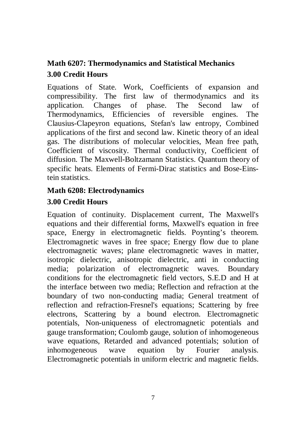# **Math 6207: Thermodynamics and Statistical Mechanics 3.00 Credit Hours**

Equations of State. Work, Coefficients of expansion and compressibility. The first law of thermodynamics and its application. Changes of phase. The Second law of Thermodynamics, Efficiencies of reversible engines. The Clausius-Clapeyron equations, Stefan's law entropy, Combined applications of the first and second law. Kinetic theory of an ideal gas. The distributions of molecular velocities, Mean free path, Coefficient of viscosity. Thermal conductivity, Coefficient of diffusion. The Maxwell-Boltzamann Statistics. Quantum theory of specific heats. Elements of Fermi-Dirac statistics and Bose-Einstein statistics.

# **Math 6208: Electrodynamics**

#### **3.00 Credit Hours**

Equation of continuity. Displacement current, The Maxwell's equations and their differential forms, Maxwell's equation in free space, Energy in electromagnetic fields. Poynting's theorem. Electromagnetic waves in free space; Energy flow due to plane electromagnetic waves; plane electromagnetic waves in matter, isotropic dielectric, anisotropic dielectric, anti in conducting media; polarization of electromagnetic waves. Boundary conditions for the electromagnetic field vectors, S.E.D and H at the interface between two media; Reflection and refraction at the boundary of two non-conducting madia; General treatment of reflection and refraction-Fresnel's equations; Scattering by free electrons, Scattering by a bound electron. Electromagnetic potentials, Non-uniqueness of electromagnetic potentials and gauge transformation; Coulomb gauge, solution of inhomogeneous wave equations, Retarded and advanced potentials; solution of inhomogeneous wave equation by Fourier analysis. Electromagnetic potentials in uniform electric and magnetic fields.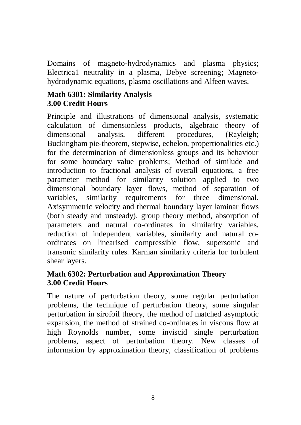Domains of magneto-hydrodynamics and plasma physics; Electrica1 neutrality in a plasma, Debye screening; Magnetohydrodynamic equations, plasma oscillations and Alfeen waves.

#### **Math 6301: Similarity Analysis 3.00 Credit Hours**

Principle and illustrations of dimensional analysis, systematic calculation of dimensionless products, algebraic theory of dimensional analysis, different procedures, (Rayleigh; Buckingham pie-theorem, stepwise, echelon, propertionalities etc.) for the determination of dimensionless groups and its behaviour for some boundary value problems; Method of similude and introduction to fractional analysis of overall equations, a free parameter method for similarity solution applied to two dimensional boundary layer flows, method of separation of variables, similarity requirements for three dimensional. Axisymmetric velocity and thermal boundary layer laminar flows (both steady and unsteady), group theory method, absorption of parameters and natural co-ordinates in similarity variables, reduction of independent variables, similarity and natural coordinates on linearised compressible flow, supersonic and transonic similarity rules. Karman similarity criteria for turbulent shear layers.

#### **Math 6302: Perturbation and Approximation Theory 3.00 Credit Hours**

The nature of perturbation theory, some regular perturbation problems, the technique of perturbation theory, some singular perturbation in sirofoil theory, the method of matched asymptotic expansion, the method of strained co-ordinates in viscous flow at high Roynolds number, some inviscid single perturbation problems, aspect of perturbation theory. New classes of information by approximation theory, classification of problems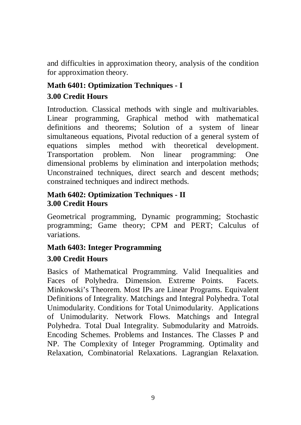and difficulties in approximation theory, analysis of the condition for approximation theory.

# **Math 6401: Optimization Techniques - I**

#### **3.00 Credit Hours**

Introduction. Classical methods with single and multivariables. Linear programming, Graphical method with mathematical definitions and theorems; Solution of a system of linear simultaneous equations, Pivotal reduction of a general system of equations simples method with theoretical development. Transportation problem. Non linear programming: One dimensional problems by elimination and interpolation methods; Unconstrained techniques, direct search and descent methods; constrained techniques and indirect methods.

#### **Math 6402: Optimization Techniques - II 3.00 Credit Hours**

Geometrical programming, Dynamic programming; Stochastic programming; Game theory; CPM and PERT; Calculus of variations.

#### **Math 6403: Integer Programming 3.00 Credit Hours**

Basics of Mathematical Programming. Valid Inequalities and Faces of Polyhedra. Dimension. Extreme Points. Facets. Minkowski's Theorem. Most IPs are Linear Programs. Equivalent Definitions of Integrality. Matchings and Integral Polyhedra. Total Unimodularity. Conditions for Total Unimodularity. Applications of Unimodularity. Network Flows. Matchings and Integral Polyhedra. Total Dual Integrality. Submodularity and Matroids. Encoding Schemes. Problems and Instances. The Classes P and NP. The Complexity of Integer Programming. Optimality and Relaxation, Combinatorial Relaxations. Lagrangian Relaxation.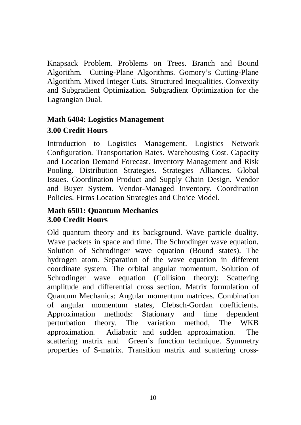Knapsack Problem. Problems on Trees. Branch and Bound Algorithm. Cutting-Plane Algorithms. Gomory's Cutting-Plane Algorithm. Mixed Integer Cuts. Structured Inequalities. Convexity and Subgradient Optimization. Subgradient Optimization for the Lagrangian Dual.

## **Math 6404: Logistics Management 3.00 Credit Hours**

Introduction to Logistics Management. Logistics Network Configuration. Transportation Rates. Warehousing Cost. Capacity and Location Demand Forecast. Inventory Management and Risk Pooling. Distribution Strategies. Strategies Alliances. Global Issues. Coordination Product and Supply Chain Design. Vendor and Buyer System. Vendor-Managed Inventory. Coordination Policies. Firms Location Strategies and Choice Model.

#### **Math 6501: Quantum Mechanics 3.00 Credit Hours**

Old quantum theory and its background. Wave particle duality. Wave packets in space and time. The Schrodinger wave equation. Solution of Schrodinger wave equation (Bound states). The hydrogen atom. Separation of the wave equation in different coordinate system. The orbital angular momentum. Solution of Schrodinger wave equation (Collision theory): Scattering amplitude and differential cross section. Matrix formulation of Quantum Mechanics: Angular momentum matrices. Combination of angular momentum states, Clebsch-Gordan coefficients. Approximation methods: Stationary and time dependent perturbation theory. The variation method, The WKB approximation. Adiabatic and sudden approximation. The scattering matrix and Green's function technique. Symmetry properties of S-matrix. Transition matrix and scattering cross-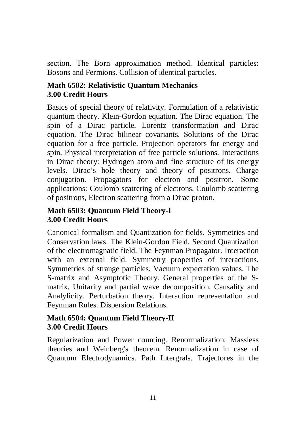section. The Born approximation method. Identical particles: Bosons and Fermions. Collision of identical particles.

#### **Math 6502: Relativistic Quantum Mechanics 3.00 Credit Hours**

Basics of special theory of relativity. Formulation of a relativistic quantum theory. Klein-Gordon equation. The Dirac equation. The spin of a Dirac particle. Lorentz transformation and Dirac equation. The Dirac bilinear covariants. Solutions of the Dirac equation for a free particle. Projection operators for energy and spin. Physical interpretation of free particle solutions. Interactions in Dirac theory: Hydrogen atom and fine structure of its energy levels. Dirac's hole theory and theory of positrons. Charge conjugation. Propagators for electron and positron. Some applications: Coulomb scattering of electrons. Coulomb scattering of positrons, Electron scattering from a Dirac proton.

#### **Math 6503: Quantum Field Theory-I 3.00 Credit Hours**

Canonical formalism and Quantization for fields. Symmetries and Conservation laws. The Klein-Gordon Field. Second Quantization of the electromagnatic field. The Feynman Propagator. Interaction with an external field. Symmetry properties of interactions. Symmetries of strange particles. Vacuum expectation values. The S-matrix and Asymptotic Theory. General properties of the Smatrix. Unitarity and partial wave decomposition. Causality and Analylicity. Perturbation theory. Interaction representation and Feynman Rules. Dispersion Relations.

#### **Math 6504: Quantum Field Theory-II 3.00 Credit Hours**

Regularization and Power counting. Renormalization. Massless theories and Weinberg's theorem. Renormalization in case of Quantum Electrodynamics. Path Intergrals. Trajectores in the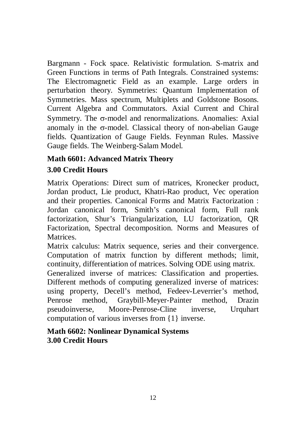Bargmann - Fock space. Relativistic formulation. S-matrix and Green Functions in terms of Path Integrals. Constrained systems: The Electromagnetic Field as an example. Large orders in perturbation theory. Symmetries: Quantum Implementation of Symmetries. Mass spectrum, Multiplets and Goldstone Bosons. Current Algebra and Commutators. Axial Current and Chiral Symmetry. The  $\sigma$ -model and renormalizations. Anomalies: Axial anomaly in the  $\sigma$ -model. Classical theory of non-abelian Gauge fields. Quantization of Gauge Fields. Feynman Rules. Massive Gauge fields. The Weinberg-Salam Model.

#### **Math 6601: Advanced Matrix Theory 3.00 Credit Hours**

Matrix Operations: Direct sum of matrices, Kronecker product, Jordan product, Lie product, Khatri-Rao product, Vec operation and their properties. Canonical Forms and Matrix Factorization : Jordan canonical form, Smith's canonical form, Full rank factorization, Shur's Triangularization, LU factorization, QR Factorization, Spectral decomposition. Norms and Measures of Matrices.

Matrix calculus: Matrix sequence, series and their convergence. Computation of matrix function by different methods; limit, continuity, differentiation of matrices. Solving ODE using matrix.

Generalized inverse of matrices: Classification and properties. Different methods of computing generalized inverse of matrices: using property, Decell's method, Fedeev-Leverrier's method, Penrose method, Graybill-Meyer-Painter method, Drazin pseudoinverse, Moore-Penrose-Cline inverse, Urquhart computation of various inverses from {1} inverse.

#### **Math 6602: Nonlinear Dynamical Systems 3.00 Credit Hours**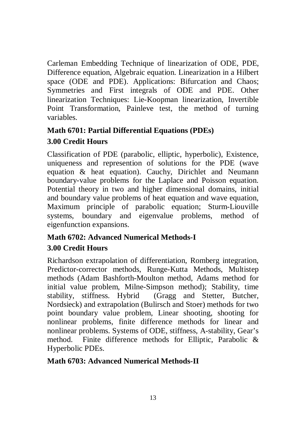Carleman Embedding Technique of linearization of ODE, PDE, Difference equation, Algebraic equation. Linearization in a Hilbert space (ODE and PDE). Applications: Bifurcation and Chaos; Symmetries and First integrals of ODE and PDE. Other linearization Techniques: Lie-Koopman linearization, Invertible Point Transformation, Painleve test, the method of turning variables.

#### **Math 6701: Partial Differential Equations (PDEs)**

### **3.00 Credit Hours**

Classification of PDE (parabolic, elliptic, hyperbolic), Existence, uniqueness and represention of solutions for the PDE (wave equation & heat equation). Cauchy, Dirichlet and Neumann boundary-value problems for the Laplace and Poisson equation. Potential theory in two and higher dimensional domains, initial and boundary value problems of heat equation and wave equation, Maximum principle of parabolic equation; Sturm-Liouville systems, boundary and eigenvalue problems, method of eigenfunction expansions.

### **Math 6702: Advanced Numerical Methods-I**

## **3.00 Credit Hours**

Richardson extrapolation of differentiation, Romberg integration, Predictor-corrector methods, Runge-Kutta Methods, Multistep methods (Adam Bashforth-Moulton method, Adams method for initial value problem, Milne-Simpson method); Stability, time stability, stiffness. Hybrid (Gragg and Stetter, Butcher, Nordsieck) and extrapolation (Bulirsch and Stoer) methods for two point boundary value problem, Linear shooting, shooting for nonlinear problems, finite difference methods for linear and nonlinear problems. Systems of ODE, stiffness, A-stability, Gear's method. Finite difference methods for Elliptic, Parabolic & Hyperbolic PDEs.

#### **Math 6703: Advanced Numerical Methods-II**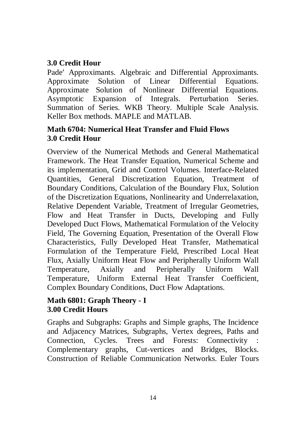#### **3.0 Credit Hour**

Pade' Approximants. Algebraic and Differential Approximants. Approximate Solution of Linear Differential Equations. Approximate Solution of Nonlinear Differential Equations. Asymptotic Expansion of Integrals. Perturbation Series. Summation of Series. WKB Theory. Multiple Scale Analysis. Keller Box methods. MAPLE and MATLAB.

#### **Math 6704: Numerical Heat Transfer and Fluid Flows 3.0 Credit Hour**

Overview of the Numerical Methods and General Mathematical Framework. The Heat Transfer Equation, Numerical Scheme and its implementation, Grid and Control Volumes. Interface-Related Quantities, General Discretization Equation, Treatment of Boundary Conditions, Calculation of the Boundary Flux, Solution of the Discretization Equations, Nonlinearity and Underrelaxation, Relative Dependent Variable, Treatment of Irregular Geometries, Flow and Heat Transfer in Ducts, Developing and Fully Developed Duct Flows, Mathematical Formulation of the Velocity Field, The Governing Equation, Presentation of the Overall Flow Characteristics, Fully Developed Heat Transfer, Mathematical Formulation of the Temperature Field, Prescribed Local Heat Flux, Axially Uniform Heat Flow and Peripherally Uniform Wall Temperature, Axially and Peripherally Uniform Wall Temperature, Uniform External Heat Transfer Coefficient, Complex Boundary Conditions, Duct Flow Adaptations.

#### **Math 6801: Graph Theory - I 3.00 Credit Hours**

Graphs and Subgraphs: Graphs and Simple graphs, The Incidence and Adjacency Matrices, Subgraphs, Vertex degrees, Paths and Connection, Cycles. Trees and Forests: Connectivity Complementary graphs, Cut-vertices and Bridges, Blocks. Construction of Reliable Communication Networks. Euler Tours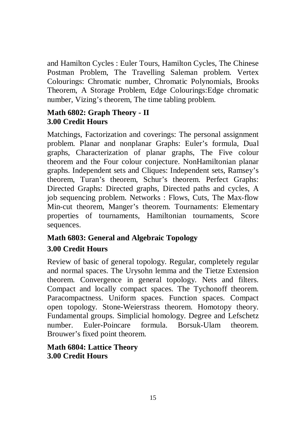and Hamilton Cycles : Euler Tours, Hamilton Cycles, The Chinese Postman Problem, The Travelling Saleman problem. Vertex Colourings: Chromatic number, Chromatic Polynomials, Brooks Theorem, A Storage Problem, Edge Colourings:Edge chromatic number, Vizing's theorem, The time tabling problem.

#### **Math 6802: Graph Theory - II 3.00 Credit Hours**

Matchings, Factorization and coverings: The personal assignment problem. Planar and nonplanar Graphs: Euler's formula, Dual graphs, Characterization of planar graphs, The Five colour theorem and the Four colour conjecture. NonHamiltonian planar graphs. Independent sets and Cliques: Independent sets, Ramsey's theorem, Turan's theorem, Schur's theorem. Perfect Graphs: Directed Graphs: Directed graphs, Directed paths and cycles, A job sequencing problem. Networks : Flows, Cuts, The Max-flow Min-cut theorem, Manger's theorem. Tournaments: Elementary properties of tournaments, Hamiltonian tournaments, Score sequences.

# **Math 6803: General and Algebraic Topology 3.00 Credit Hours**

Review of basic of general topology. Regular, completely regular and normal spaces. The Urysohn lemma and the Tietze Extension theorem. Convergence in general topology. Nets and filters. Compact and locally compact spaces. The Tychonoff theorem. Paracompactness. Uniform spaces. Function spaces. Compact open topology. Stone-Weierstrass theorem. Homotopy theory. Fundamental groups. Simplicial homology. Degree and Lefschetz number. Euler-Poincare formula. Borsuk-Ulam theorem. Brouwer's fixed point theorem.

#### **Math 6804: Lattice Theory 3.00 Credit Hours**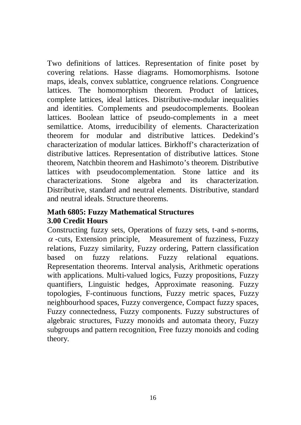Two definitions of lattices. Representation of finite poset by covering relations. Hasse diagrams. Homomorphisms. Isotone maps, ideals, convex sublattice, congruence relations. Congruence lattices. The homomorphism theorem. Product of lattices, complete lattices, ideal lattices. Distributive-modular inequalities and identities. Complements and pseudocomplements. Boolean lattices. Boolean lattice of pseudo-complements in a meet semilattice. Atoms, irreducibility of elements. Characterization theorem for modular and distributive lattices. Dedekind's characterization of modular lattices. Birkhoff's characterization of distributive lattices. Representation of distributive lattices. Stone theorem, Natchbin theorem and Hashimoto's theorem. Distributive lattices with pseudocomplementation. Stone lattice and its characterizations. Stone algebra and its characterization. Distributive, standard and neutral elements. Distributive, standard and neutral ideals. Structure theorems.

#### **Math 6805: Fuzzy Mathematical Structures 3.00 Credit Hours**

Constructing fuzzy sets, Operations of fuzzy sets, t-and s-norms,  $\alpha$ -cuts, Extension principle, Measurement of fuzziness, Fuzzy relations, Fuzzy similarity, Fuzzy ordering, Pattern classification based on fuzzy relations. Fuzzy relational equations. Representation theorems. Interval analysis, Arithmetic operations with applications. Multi-valued logics, Fuzzy propositions, Fuzzy quantifiers, Linguistic hedges, Approximate reasoning. Fuzzy topologies, F-continuous functions, Fuzzy metric spaces, Fuzzy neighbourhood spaces, Fuzzy convergence, Compact fuzzy spaces, Fuzzy connectedness, Fuzzy components. Fuzzy substructures of algebraic structures, Fuzzy monoids and automata theory, Fuzzy subgroups and pattern recognition, Free fuzzy monoids and coding theory.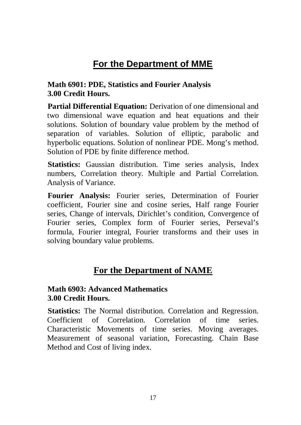# **For the Department of MME**

#### **Math 6901: PDE, Statistics and Fourier Analysis 3.00 Credit Hours.**

**Partial Differential Equation:** Derivation of one dimensional and two dimensional wave equation and heat equations and their solutions. Solution of boundary value problem by the method of separation of variables. Solution of elliptic, parabolic and hyperbolic equations. Solution of nonlinear PDE. Mong's method. Solution of PDE by finite difference method.

**Statistics:** Gaussian distribution. Time series analysis, Index numbers, Correlation theory. Multiple and Partial Correlation. Analysis of Variance.

**Fourier Analysis:** Fourier series, Determination of Fourier coefficient, Fourier sine and cosine series, Half range Fourier series, Change of intervals, Dirichlet's condition, Convergence of Fourier series, Complex form of Fourier series, Perseval's formula, Fourier integral, Fourier transforms and their uses in solving boundary value problems.

## **For the Department of NAME**

#### **Math 6903: Advanced Mathematics 3.00 Credit Hours.**

**Statistics:** The Normal distribution. Correlation and Regression. Coefficient of Correlation. Correlation of time series. Characteristic Movements of time series. Moving averages. Measurement of seasonal variation, Forecasting. Chain Base Method and Cost of living index.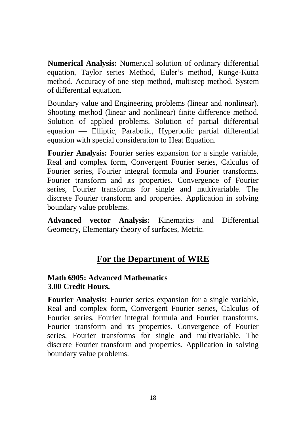**Numerical Analysis:** Numerical solution of ordinary differential equation, Taylor series Method, Euler's method, Runge-Kutta method. Accuracy of one step method, multistep method. System of differential equation.

Boundary value and Engineering problems (linear and nonlinear). Shooting method (linear and nonlinear) finite difference method. Solution of applied problems. Solution of partial differential equation — Elliptic, Parabolic, Hyperbolic partial differential equation with special consideration to Heat Equation.

**Fourier Analysis:** Fourier series expansion for a single variable, Real and complex form, Convergent Fourier series, Calculus of Fourier series, Fourier integral formula and Fourier transforms. Fourier transform and its properties. Convergence of Fourier series, Fourier transforms for single and multivariable. The discrete Fourier transform and properties. Application in solving boundary value problems.

**Advanced vector Analysis:** Kinematics and Differential Geometry, Elementary theory of surfaces, Metric.

## **For the Department of WRE**

#### **Math 6905: Advanced Mathematics 3.00 Credit Hours.**

**Fourier Analysis:** Fourier series expansion for a single variable, Real and complex form, Convergent Fourier series, Calculus of Fourier series, Fourier integral formula and Fourier transforms. Fourier transform and its properties. Convergence of Fourier series, Fourier transforms for single and multivariable. The discrete Fourier transform and properties. Application in solving boundary value problems.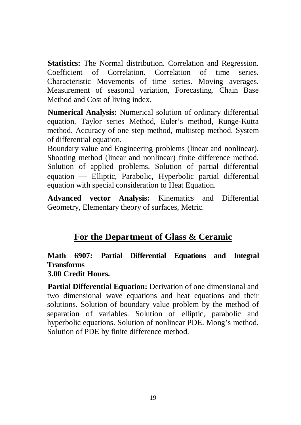**Statistics:** The Normal distribution. Correlation and Regression. Coefficient of Correlation. Correlation of time series. Characteristic Movements of time series. Moving averages. Measurement of seasonal variation, Forecasting. Chain Base Method and Cost of living index.

**Numerical Analysis:** Numerical solution of ordinary differential equation, Taylor series Method, Euler's method, Runge-Kutta method. Accuracy of one step method, multistep method. System of differential equation.

Boundary value and Engineering problems (linear and nonlinear). Shooting method (linear and nonlinear) finite difference method. Solution of applied problems. Solution of partial differential equation — Elliptic, Parabolic, Hyperbolic partial differential equation with special consideration to Heat Equation.

**Advanced vector Analysis:** Kinematics and Differential Geometry, Elementary theory of surfaces, Metric.

# **For the Department of Glass & Ceramic**

# **Math 6907: Partial Differential Equations and Integral Transforms**

#### **3.00 Credit Hours.**

**Partial Differential Equation:** Derivation of one dimensional and two dimensional wave equations and heat equations and their solutions. Solution of boundary value problem by the method of separation of variables. Solution of elliptic, parabolic and hyperbolic equations. Solution of nonlinear PDE. Mong's method. Solution of PDE by finite difference method.